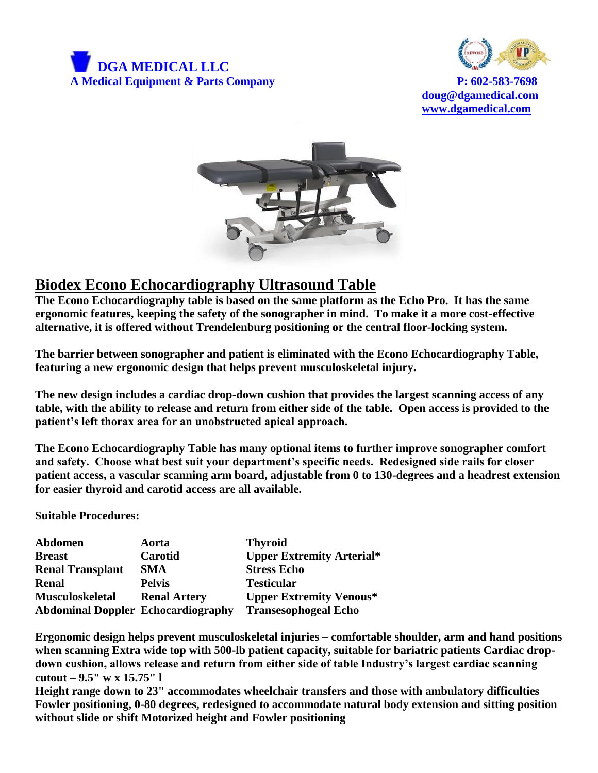



**doug@dgamedical.com [www.dgamedical.com](http://www.dgamedical.com/)**



## **Biodex Econo Echocardiography Ultrasound Table**

**The Econo Echocardiography table is based on the same platform as the Echo Pro. It has the same ergonomic features, keeping the safety of the sonographer in mind. To make it a more cost-effective alternative, it is offered without Trendelenburg positioning or the central floor-locking system.**

**The barrier between sonographer and patient is eliminated with the Econo Echocardiography Table, featuring a new ergonomic design that helps prevent musculoskeletal injury.** 

**The new design includes a cardiac drop-down cushion that provides the largest scanning access of any table, with the ability to release and return from either side of the table. Open access is provided to the patient's left thorax area for an unobstructed apical approach.** 

**The Econo Echocardiography Table has many optional items to further improve sonographer comfort and safety. Choose what best suit your department's specific needs. Redesigned side rails for closer patient access, a vascular scanning arm board, adjustable from 0 to 130-degrees and a headrest extension for easier thyroid and carotid access are all available.**

**Suitable Procedures:** 

| <b>Abdomen</b>                            | Aorta               | <b>Thyroid</b>                   |
|-------------------------------------------|---------------------|----------------------------------|
| <b>Breast</b>                             | Carotid             | <b>Upper Extremity Arterial*</b> |
| <b>Renal Transplant</b>                   | SMA                 | <b>Stress Echo</b>               |
| <b>Renal</b>                              | <b>Pelvis</b>       | <b>Testicular</b>                |
| <b>Musculoskeletal</b>                    | <b>Renal Artery</b> | <b>Upper Extremity Venous*</b>   |
| <b>Abdominal Doppler Echocardiography</b> |                     | <b>Transesophogeal Echo</b>      |

**Ergonomic design helps prevent musculoskeletal injuries – comfortable shoulder, arm and hand positions when scanning Extra wide top with 500-lb patient capacity, suitable for bariatric patients Cardiac dropdown cushion, allows release and return from either side of table Industry's largest cardiac scanning cutout – 9.5" w x 15.75" l**

**Height range down to 23" accommodates wheelchair transfers and those with ambulatory difficulties Fowler positioning, 0-80 degrees, redesigned to accommodate natural body extension and sitting position without slide or shift Motorized height and Fowler positioning**